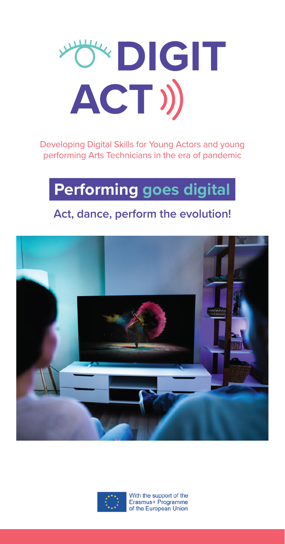

Developing Digital Skills for Young Actors and young performing Arts Technicians in the era of pandemic

# **Performing goes digital**

#### **Act, dance, perform the evolution!**





With the support of the Erasmus+ Programme of the European Union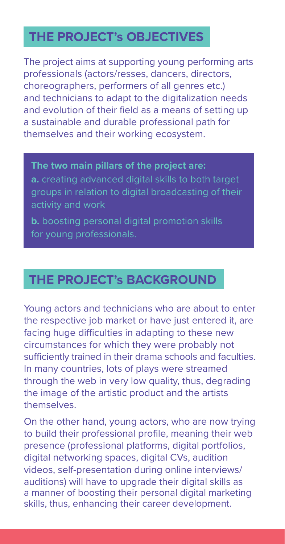## **THE PROJECT's OBJECTIVES**

The project aims at supporting young performing arts professionals (actors/resses, dancers, directors, choreographers, performers of all genres etc.) and technicians to adapt to the digitalization needs and evolution of their field as a means of setting up a sustainable and durable professional path for themselves and their working ecosystem.

**The two main pillars of the project are: a.** creating advanced digital skills to both target groups in relation to digital broadcasting of their activity and work

**b.** boosting personal digital promotion skills for young professionals.

### **THE PROJECT's BACKGROUND**

Young actors and technicians who are about to enter the respective job market or have just entered it, are facing huge difficulties in adapting to these new circumstances for which they were probably not sufficiently trained in their drama schools and faculties. In many countries, lots of plays were streamed through the web in very low quality, thus, degrading the image of the artistic product and the artists themselves.

On the other hand, young actors, who are now trying to build their professional profile, meaning their web presence (professional platforms, digital portfolios, digital networking spaces, digital CVs, audition videos, self-presentation during online interviews/ auditions) will have to upgrade their digital skills as a manner of boosting their personal digital marketing skills, thus, enhancing their career development.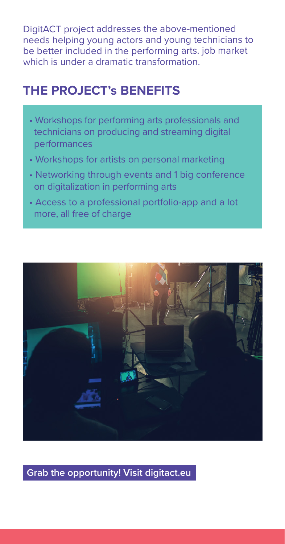DigitACT project addresses the above-mentioned needs helping young actors and young technicians to be better included in the performing arts. job market which is under a dramatic transformation.

### **THE PROJECT's BENEFITS**

- Workshops for performing arts professionals and technicians on producing and streaming digital performances
- Workshops for artists on personal marketing
- Networking through events and 1 big conference on digitalization in performing arts
- Access to a professional portfolio-app and a lot more, all free of charge



**Grab the opportunity! Visit digitact.eu**